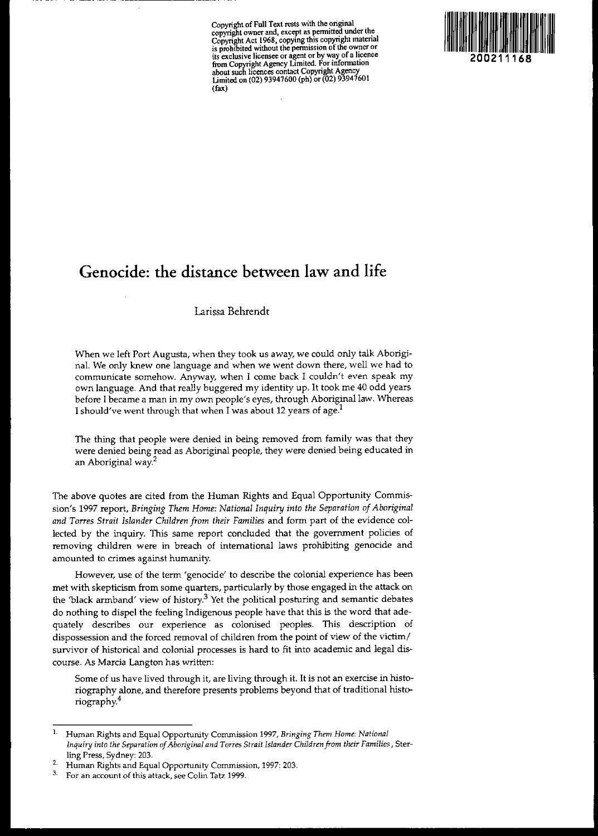**Copyright** of Full **Text rests with the original** copyright owner and, except as permitted under the<br>Copyright Act 1968, copying this copyright material<br>is prohibited without the permission of the owner or **its exclusive licensee or agent or by way of a hcence from Copyright Agency Limited. For information about such licences contact Copyright Agency** Limited on (02) 93947600 (ph) or (02) 93947601 (fax)



# **Genocide: the distance between law and life**

~--- -----------

### Larissa Behrendr

When we left Port Augusta, when they took us away, we could only talk Aboriginal. We only knew one language and when we went down there, well we had to **communicate somehow. Anyway, when I come back I couldn't even speak my** own language. And that really buggered my identity up. It took me 40 odd years before I became a man in my own people's eyes, through Aboriginal law. Whereas I should've went through that when I was about 12 years of age.<sup>1</sup>

The thing that people were denied in being removed from family was that they were denied being read as Aboriginal people, they were denied being educated in an Aboriginal way.<sup>2</sup>

The above quotes are cited from the Human Rights and Equal Opportunity Commission's 1997 report, *Bringing Them Home: National Inquiry into the Separation ofAboriginal and Torres Strait Islander Children from their Families* and form part of the evidence collected by the inquiry. This same report concluded that the government policies of **removing children were in breach of international laws prohibiting genocide and amounted to crimes against humanity.**

**However, use of the term 'genocide' to describe the colonial experience has been** met with skepticism from some quarters, particularly by those engaged in the attack on the 'black armband' view of history.<sup>3</sup> Yet the political posturing and semantic debates do nothing to dispel the feeling Indigenous people have that this is the word that ade**quately describes our experience as colonised peoples. This description of** dispossession and the forced removal of children from the point of view of the victim/ survivor of historical and colonial processes is hard to fit into academic and legal dis**course. As Marcia Langton has written:**

**Some of us have lived through it, are living through it. It is not an exercise in histo**riography alone, and therefore presents problems beyond that of traditional histariography.4

**L Human Rights and Equal Opportunity Commission 1997,** *Bringing Them Home: National Inquiry into the Separation of Aboriginal and Torres Strait Islander Children from their Families*, Sterling Press, Sydney: 203.

**<sup>2.</sup> Human Rights and Equal Opportunity Commission, 1997: 203.**

**<sup>3.</sup> For an account of this attack, see Colin Tatz 1999.**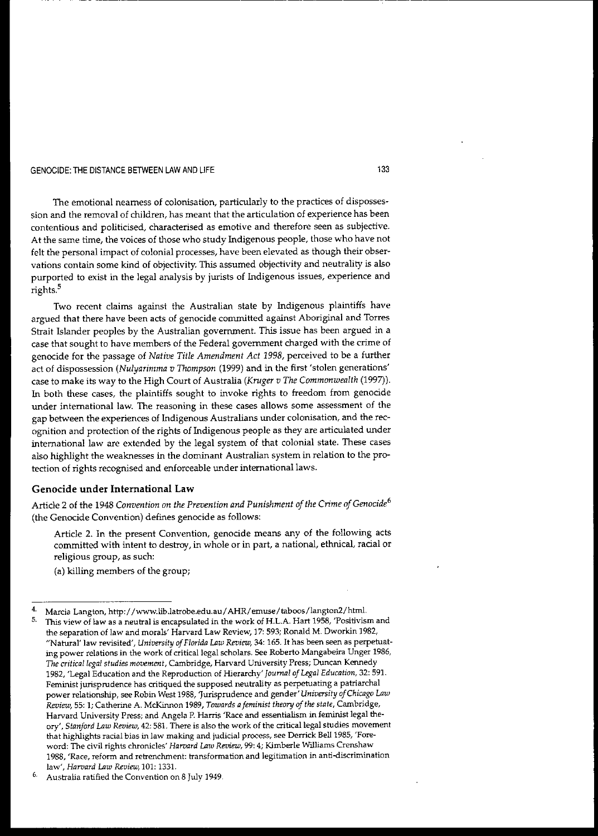The emotional nearness of colonisation, particularly to the practices of disposses**sion and the removal of children, has meant that the articulation of experience has been contentious and politicised, characterised as emotive and therefore seen as subjective.** At the same time, the voices of those who study Indigenous people, those who have not **felt the personal impact of colonial processes, have been elevated as though their obser**vations contain some kind of objectivity. This assumed objectivity and neutrality is also purported to exist in the legal analysis by jurists of Indigenous issues, experience and rights.<sup>5</sup>

Two recent claims against the Australian state by Indigenous plaintiffs have **argued that there have been acts of genocide committed against Aboriginal and Torres** Strait Islander peoples by the Australian government. This issue has been argued in a case that sought to have members of the Federal government charged with the crime of genocide for the passage of *Native Title Amendment Act* 1998, perceived to be a further act of dispossession *(Nulyarimma v Thompson* (1999) and in the first 'stolen generations' case to make its way to the High Court of Australia *(Kruger v The Commonwealth (1997).* In both these cases, the plaintiffs sought to invoke rights to freedom from genocide **under international law. The reasoning in these cases allows some assessment of the** gap between the experiences of Indigenous Australians under colonisation, and the recognition and protection of the rights of Indigenous people as they are articulated under international law are extended by the legal system of that colonial state. These cases also highlight the weaknesses in the dominant Australian system in relation to the pro**tection of rights reCOgnised and enforceable under** international laws.

### Genocide under International Law

Article 2 of the 1948 *Convention on the Prevention and Punishment ofthe Crime ofGenocide<sup>6</sup>* (the Genocide Convention) defines genocide as follows:

Article 2. In the present Convention, genocide means any of the following acts **committed with intent to destroy, in whole or in part, a national, ethnical, racial or religious group, as such:**

(a) killing members of the group;

133

-----------------------------.

<sup>4.</sup> Marcia Langton, http://www.lib.latrobe.edu.au/AHR/emuse/taboos/langton2/html.

**<sup>5.</sup> This view** of law **as a neutral is encapsulated in the work of H.L.A. Hart 1958, 'Positivism and the separation of law and morals' Harvard Law Review, 17: 593; Ronald M. Dworkin 1982,** "Natural' law revisited', *University of Florida Law Review*, 34: 165. It has been seen as perpetuat**ing power relations in the work of** critical legal **scholars. See Roberto Mangabeira Unger 1986,** *The critical legal studies movement,* **Cambridge, Harvard University Press; Duncan Kennedy 1982, 'Legal Education and the Reproduction of Hierarchy'** *Journal of Legal Education,* **32: 591. Feminist jurisprudence has critiqued the supposed neutrality as perpetuating a patriarchal power relationship, see Robin West 1988, 'Jurisprudence and** *gender'University ofChicago Law Review,* **55: 1; Catherine A McKinnon 1989,** *Towards afeminist theory of the state,* **Cambridge, Harvard University Press; and Angela P, Harris 'Race and essentialism in feminist legal the***ory', Stanford Law Review,* **42: 581. There is also the work of the** critical legal **studies movement that highlights racial bias in law making and judicial process, see Derrick** Bell 1985, **'Foreword: The civil rights chronicles'** *Harvard Law Review,* **99: 4; Kimberle Williams Crenshaw 1988, 'Race, reform and retrendunent: transformation and legitimation in anti-discrimination law',** *Harvard* **Law** *Review,* **101: 133l.**

<sup>6,</sup> **Aush'alia ratified the Convention on 8 July 1949.**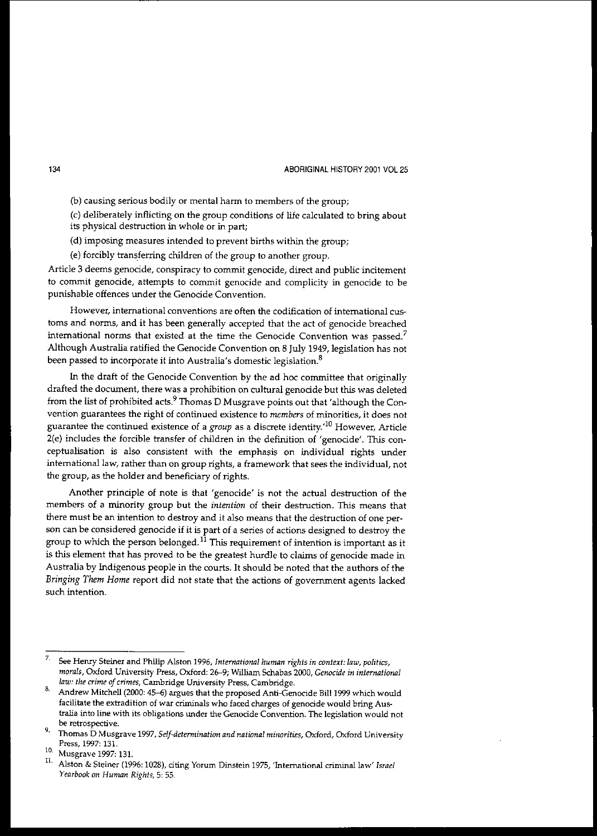**(b) causing serious bodily or mental harm to members of the group;**

(c) deliberately inflicting on the group conditions of life calculated to bring about its physical destruction in whole or in part;

(d) imposing measures intended to prevent births within the group;

(e) forcibly transferring children of the group to another group.

**Article 3 deems genocide, conspiracy to commit genocide, direct and public incitement to commit genocide, attempts to commit genocide and complicity in genocide to be punishable offences under the Genocide Convention.**

**However, international conventions are often the codification of international cus**toms and norms, and it has been generally accepted that the act of genocide breached **international norms that existed at the time the Genocide Convention was passed?** Although Australia ratified the Genocide Convention on 8 July 1949, legislation has not **been passed to incorporate it into Australia's domestic legislation.<sup>8</sup>**

In the draft of the Genocide Convention by the ad hoc committee that originally drafted the document, there was a prohibition on cultural genocide but this was deleted from the list of prohibited acts.<sup>9</sup> Thomas D Musgrave points out that 'although the Con**vention guarantees the right of continued existence to** *members* **of minorities, it does not guarantee the continued existence of a** *group* **as a discrete identity.'lO However, Article** 2(e) includes the forcible transfer of children in the definition of 'genocide'. This con**ceptualisation is also consistent with the emphasis on individual rights under intemationallaw, rather than on group rights, a framework that sees the individual, not** the group, as the holder and beneficiary of rights.

Another principle of note is that 'genocide' is not the actual destruction of the **members of a minority group but the** *intention* **of their destruction. This means that** there must be an intention to destroy and it also means that the destruction of one per**son can be considered genocide if it is part of a series of actions designed to destroy the** group to which the person belonged.<sup>11</sup> This requirement of intention is important as it is this element that has proved to be the greatest hurdle to claims of genocide made in Australia by lndigenous people in the courts. It should be noted that the authors of the *Bringing Them Home* report did not state that the actions of government agents lacked **such intention.**

**<sup>7.</sup> See Henry Steiner and Philip Alston 1996,** *Intenuztional human rights in context: law, politics, morals,* **Oxford University Press, Oxford: 26-9; William Schabas 2000,** *Genocide in international law: the crime* **of** *crimes,* **Cambridge University Press, Cambridge.**

<sup>8.</sup> Andrew Mitchell (2000: 45-6) argues that the proposed Anti-Genocide Bill 1999 which would **facilitate the extradition of war criminals who faced charges of genocide would bring Australia into line with its obligations lUlder the Genocide Convention. The legislation would not be retrospective.**

**<sup>9.</sup> Thomas D Musgrave 1997,** *Self-determination and national minorities,* **Oxford, Oxford University Press, 1997: 131.**

<sup>10.</sup> Musgrave 1997: 131.

**<sup>11.</sup> Alston & Steiner (1996: 1028), citing Yorum Dinstein 1975, 'International** criminal law' *Israel Yearbook on Human Rights,* **5: 55.**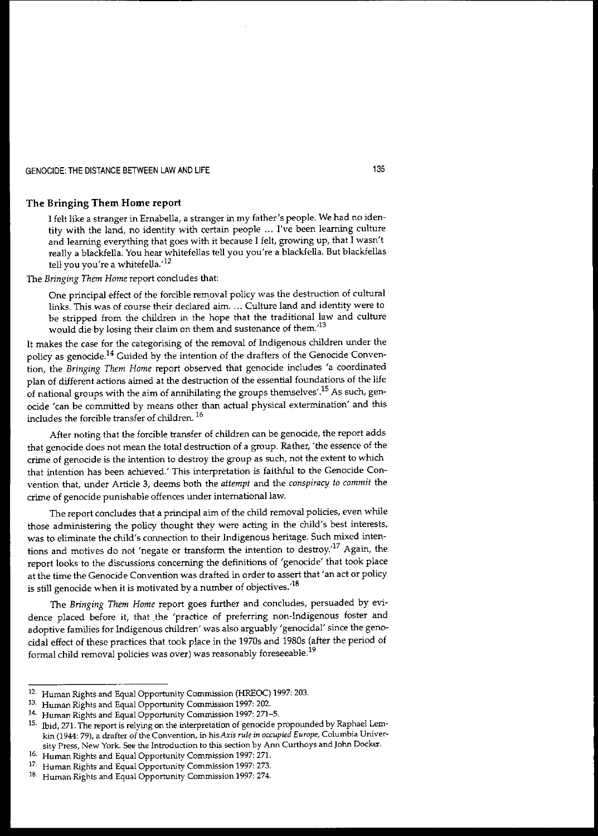### **The Bringing Them Home report**

I felt like a stranger in Ernabella, a stranger in my father's people. We had no identity with the land, no identity with certain people ... I've been learning culture and learning everything that goes with it because I felt, growing up, that I wasn't really a blackfella. You hear whitefellas tell you you're a blackfella. But blackfellas tell you you're a whitefella.<sup>12</sup>

The *Bringing Them Home* report concludes that:

One principal effect of the forcible removal policy was the destruction of cultural **links. This was of course their declared aim.... Culture land and identity were to** be stripped from the children in the hope that the traditional law and culture **would die by losing their claim on them and sustenance of them:<sup>13</sup>**

It makes the case for the categorising of the removal of Indigenous children under the policy as genocide.<sup>14</sup> Guided by the intention of the drafters of the Genocide Convention, the *Bringing Them Home* report observed that genocide includes 'a coordinated plan of different actions aimed at the destruction of the essential foundations of the life of national groups with the aim of annihilating the groups themselves'.<sup>15</sup> As such, genocide 'can be committed by means other than actual physical extermination' and this includes the forcible transfer of children. 16

After noting that the forcible transfer of children can be genocide, the report adds that genocide does not mean the total destruction of a group. Rather, 'the essence of the **crime of genocide is the intention to destroy the group as such, not the extent to which** that intention has been achieved.' This interpretation is faithful to the Genocide Convention that, under Article 3, deems both the *attempt* and the *conspiracy to commit* the **crime of genocide punishable offences under** international law.

The report concludes that a principal aim of the child removal policies, even while those administering the policy thought they were acting in the child's best interests, was to eliminate the child's connection to their Indigenous heritage. Such mixed intentions and motives do not 'negate or transform the intention to destroy.'<sup>17</sup> Again, the report looks to the discussions concerning the definitions of 'genocide' that took place **at the time the Genocide Convention was drafted in order to assert that'an act or policy** is still genocide when it is motivated by a number of objectives.<sup> $18$ </sup>

The *Bringing Them Home* report goes further and concludes, persuaded by evidence placed before it, that the 'practice of preferring non-Indigenous foster and adoptive families for Indigenous children' was also arguably 'genocidal' since the genocidal effect of these practices that took place in the 1970s and 1980s (after the period of **formal child removal policies was over) was reasonably foreseeable. <sup>19</sup>**

<sup>&</sup>lt;sup>12.</sup> Human Rights and Equal Opportunity Commission (HREOC) 1997: 203.<br><sup>13.</sup> Human Rights and Equal Opportunity Commission 1997: 202.

**<sup>13.</sup> Human Rights a...·1d Equal Opportunity Commission 1997: 202.**

**<sup>14.</sup> Human Rights and Equal Opportunity Commission 1997: 271-5.**

<sup>15.</sup> Ibid, 271. The report is relying on the interpretation of genocide propounded by Raphael Lem**kin (1944: 79), a drafter of the Convention, in** *hisAxis rule in occupied Europe,* **Columbia Univer· sity Press, New York. See the Introduction to this section by Ann Curthoys** and John **Docker.**

**<sup>16.</sup> Human Rights and Equal Opportunity Commission 1997: 271.**

**<sup>17,</sup> Human Rights and Equal Opportunity Commission 1997: 273.**

**<sup>18.</sup> Human Rights and Equal Opportunity Commission 1997: 274.**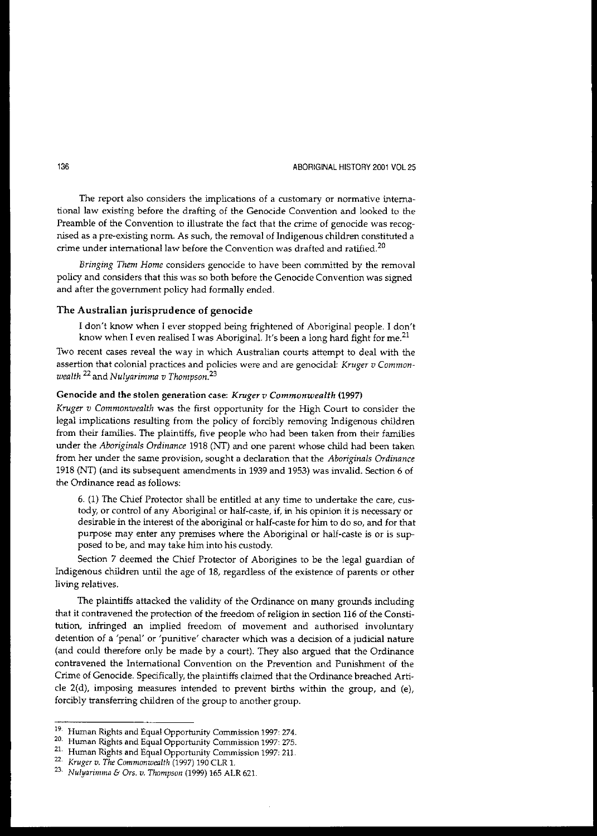**The report also considers the implications of a customary or normative international law existing before the drafting of the Genocide Convention and looked to the** Preamble of the Convention to illustrate the fact that the crime of genocide was recog**nised as a pre-existing norm. As such, the removal of Indigenous children constituted a crime under intemationallaw before the Convention was drafted and ratified. <sup>20</sup>**

*Bringing Them Home* **considers genocide to have been committed by the removal** policy and considers that this was so both before the Genocide Convention was signed and after the government policy had formally ended.

#### The Australian jurisprudence of genocide

I don't know when I ever stopped being frightened of Aboriginal people. I don't know when I even realised I was Aboriginal. It's been a long hard fight for me.<sup>21</sup>

**Two recent cases reveal the way in which Australian courts attempt to deal with the assertion that colonial practices and policies were and are genocidal:** *Kruger v Commonwealth* <sup>22</sup> and *Nulyarimrna v Thompson23*

### Genocide and the stolen generation case: *Kruger v Commonwealth (1997)*

*Kruger v Commonwealth* was the first opportunity for the High Court to consider the legal implications resulting from the policy of forcibly removing Indigenous children from their families. The plaintiffs, five people who had been taken from their families under the *Aboriginals Ordinance* 1918 (NT) and one parent whose child had been taken **from her under the same provision, sought a declaration that the** *Aboriginals Ordinance* 1918 (NT) (and its subsequent amendments in 1939 and 1953) was invalid. Section 6 of **the Ordinance read as follows:**

6. (1) The Chief Protector shall be entitled at any time to undertake the care, custody, or control of any Aboriginal or half-caste, if, in his opinion it is necessary or desirable in the interest of the aboriginal or half-caste for him to do so, and for that purpose may enter any premises where the Aboriginal or half-caste is or is supposed to be, and may take him into his custody.

Section 7 deemed the Chief Protector of Aborigines to be the legal guardian of Indigenous children until the age of 18, regardless of the existence of parents or other living relatives.

The plaintiffs attacked the validity of the Ordinance on many grounds including **that it contravened the protection of the freedom of religion in section 116 of the Consti**tution, infringed an implied freedom of movement and authorised involuntary **detention of a 'penal' or 'punitive' character which was a decision of a judicial nature** (and could therefore only be made by a court). They also argued that the Ordinance **contravened the International Convention on the Prevention and Punishment of the** Crime of Genocide. Specifically, the plaintiffs claimed that the Ordinance breached Article 2(d), imposing measures intended to prevent births within the group, and (e), forcibly transferring children of the group to another group.

<sup>19,</sup> **Human Rights and Equal Opportunity Commission 1997: 274.**

<sup>20.</sup> **Human Rights and Equal Opportunity Commission 1997: 275.**

<sup>21.</sup> Human Rights and Equal Opportunity Commission 1997: 211.

*<sup>22.</sup> Kruga v. The Commonwealth* (1997) 190 CLR 1.

<sup>23.</sup> *Nulyarimma & Ors. v. Thompson* (1999) 165 ALR 621.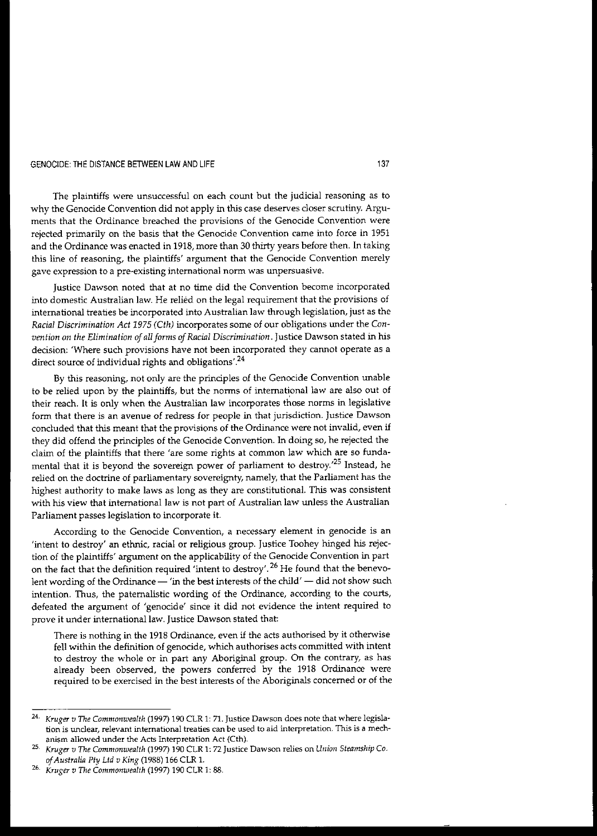**The plaintiffs were unsuccessful on each count but the judicial reasoning as to** why the Genocide Convention did not apply in this case deserves closer scrutiny. Argu**ments that the Ordinance breached the provisions of the Genocide Convention were** rejected primarily on the basis that the Genocide Convention came into force in 1951 and the Ordinance was enacted in 1918, more than 30 thirty years before then. In taking this line of reasoning, the plaintiffs' argument that the Genocide Convention merely **gave expression to a pre-existing international norm was unpersuasive.**

**Justice Dawson noted that at no time did the Convention become incorporated into domestic Australian law. He relied on the legal requirement that the provisions of international treaties be incorporated into Australian law through legislation, just as the** *Racial Discrimination Act* 1975 *(Cth)* incorporates some of our obligations under the *Convention on the Elimination of allforms ofRacial Discrimination.* **Justice Dawson stated in his decision:** 'Where such provisions have not been incorporated they cannot operate as a direct source of individual rights and obligations'.<sup>24</sup>

By this reasoning, not only are the principles of the Genocide Convention unable to be relied upon by the plaintiffs, but the norms of international law are also out of their reach. It is only when the Australian law incorporates those norms in legislative **form that there is an avenue of redress for people in that jurisdiction. Justice Dawson concluded that this meant that the provisions of the Ordinance were not invalid, even if** they did offend the principles of the Genocide Convention. In doing so, he rejected the claim of the plaintiffs that there 'are some rights at common law which are so fundamental that it is beyond the sovereign power of parliament to destroy.<sup>25</sup> Instead, he **relied on the doctrine of parliamentary sovereignty, namely, that the Parliament has the** highest authority to make laws as long as they are constitutional. This was consistent **with his view that** international law **is not part of Australian law unless the Australian Parliament passes legislation to incorporate it.**

**According to the Genocide Convention, a necessary element in genocide is an** 'intent to destroy' an ethnic, racial or religious group. Justice Toohey hinged his rejection of the plaintiffs' argument on the applicability of the Genocide Convention in part on the fact that the definition required 'intent to destroy'.<sup>26</sup> He found that the benevolent wording of the Ordinance  $-$  'in the best interests of the child'  $-$  did not show such intention. Thus, the paternalistic wording of the Ordinance, according to the courts, defeated the argument of 'genocide' since it did not evidence the intent required to **prove it under** international law. **Justice Dawson stated that:**

**There is nothing in the 1918 Ordinance, even if the acts authorised by it otherwise** fell within the definition of genocide, which authorises acts committed with intent to destroy the whole or in part any Aboriginal group. On the contrary, as has already been observed, the powers conferred by the 1918 Ordinance were **required to be exercised in the best interests of the Aboriginals concerned or of the**

*<sup>24.</sup> Kruger v The Commonwealth* **(1997) 190 CLR 1: 71. Justice Dawson does note that where legisla· tion is unclear, relevant international treaties can be used to aid interpretation. This is a mechanism allowed under the Acts Interpretation Act (Cth).**

*<sup>25.</sup> Kruger v The Commonwealth* **(1997) 190 CLR 1: 72 Justice Dawson relies on** *Union Steamship Co. ofAustralia Pty Lld v King* (1988) 166 CLR l.

*<sup>26.</sup> Kruger v The Commonwealth* (1997) 190 CLR 1: 88.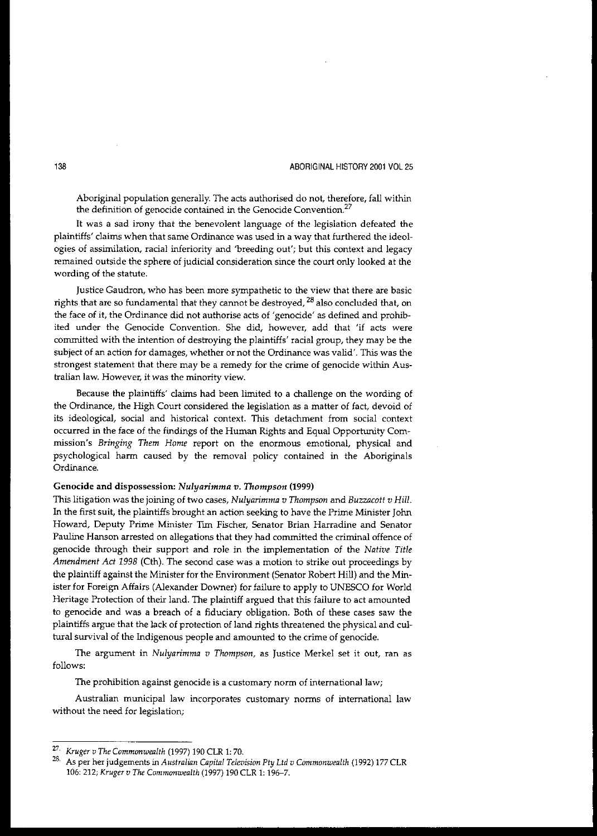Aboriginal population generally. The acts authorised do not, therefore, fall within **the definition of genocide contained in the Genocide Convention.<sup>27</sup>**

It was a sad irony that the benevolent language of the legislation defeated the **plaintiffs' claims when that same Ordinance was used in a way that furthered the ideol**ogies of assimilation, racial inferiority and 'breeding out'; but this context and legacy remained outside the sphere of judicial consideration since the court only looked at the **wording of the statute.**

**Justice Gaudron, who has been more sympathetic to the view that there are basic** rights that are so fundamental that they cannot be destroyed,  $^{28}$  also concluded that, on **the face of it, the Ordinance did not authorise acts of <sup>I</sup> genocide' as defined and prohibited under the Genocide Convention. She did, however, add that 'if acts were** committed with the intention of destroying the plaintiffs' racial group, they may be the **subject of an action for damages, whether or not the Ordinance was valid'. This was the strongest statement that there may be a remedy for the crime of genocide within Australian law. However, it was the minority view.**

Because the plaintiffs' claims had been limited to a challenge on the wording of the Ordinance, the High Court considered the legislation as a matter of fact, devoid of its ideological, social and historical context. This detachment from social context occurred in the face of the findings of the Human Rights and Equal Opportunity Com**mission's** *Bringing Them Home* **report on the enormous emotional, physical and** psychological harm caused by the removal policy contained in the Aboriginals **Ordinance.**

#### Genocide and dispossession: *Nulyarimma v. Thompson (1999)*

This litigation was the joining of two cases, *Nulyarimma v Thompson* and *Buzzacott v Hill.* In the first suit, the plaintiffs brought an action seeking to have the Prime Minister John **Howard, Deputy Prime Minister Tlffi Fischer, Senator Brian Harradine and Senator** Pauline Hanson arrested on allegations that they had committed the criminal offence of genocide through their support and role in the implementation of the *Native Title Amendment Act* 1998 (Cth). The second case was a motion to strike out proceedings by the plaintiff against the Minister for the Environment (Senator Robert Hill) and the Minister for Foreign Affairs (Alexander Downer) for failure to apply to UNESCO for World Heritage Protection of their land. The plaintiff argued that this failure to act amounted to genocide and was a breach of a fiduciary obligation. Both of these cases saw the plaintiffs argue that the lack of protection of land rights threatened the physical and cultural survival of the Indigenous people and amounted to the crime of genocide.

**The argument in** *Nulyarimma v Thompson,* **as Justice Merkel set it out, ran as** follows:

**The prohibition against genocide is a customary norm of intemationallaw;**

**Australian municipal law incorporates customary norms of international law without the need for legislation;**

*<sup>27.</sup> Kruger v The Commonwealth* (1997) 190 CLR 1: 70.

**<sup>28.</sup> As per her judgements in** *Australitm Capital Television Pty Ltd v Commonwealth* **(1992) 177 CLR** 106: 212; *Kruger v The Commonwealth* (1997) 190 CLR 1: 196-7.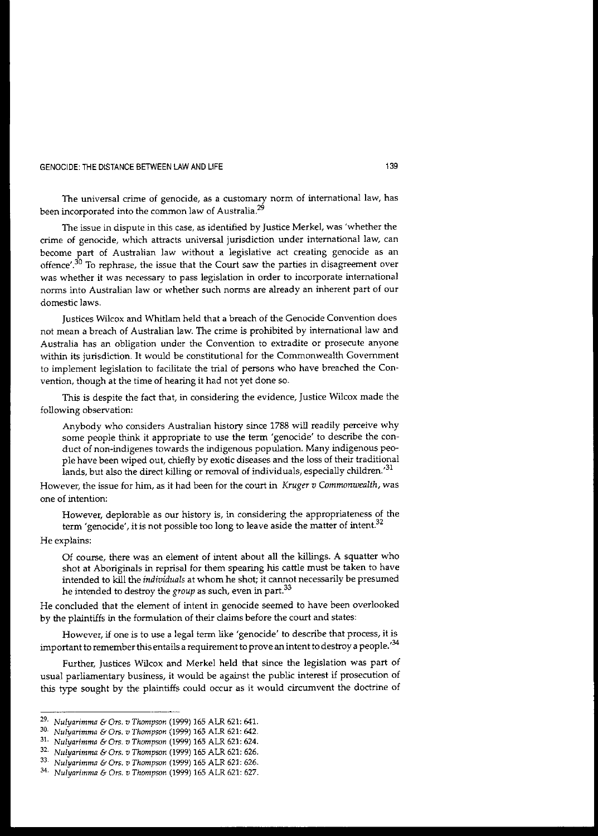**The universal crime of genocide, as a customary norm of international law, has been incorporated into the common law of Australia.<sup>29</sup>**

**The issue in dispute in this case, as identified by Justice Merkel, was 'whether the crime of genocide, which attracts universal jurisdiction under international law, can become part of Australian law without a legislative act creating genocide as an offence'.3D To rephrase, the issue that the Court saw the parties in disagreement over was whether it was necessary to pass legislation in order to incorporate international norms into Australian law or whether such norms are already an inherent part of our domestic laws.**

Justices Wilcox and Whitlam held that a breach of the Genocide Convention does not mean a breach of Australian law. The crime is prohibited by international law and **Australia has an obligation under the Convention to extradite or prosecute anyone within its jurisdiction. It would be constitutional for the Commonwealth Government** to implement legislation to facilitate the trial of persons who have breached the Convention, though at the time of hearing it had not yet done so.

This is despite the fact that, in considering the evidence, Justice Wilcox made the **following observation:**

Anybody who considers Australian history since 1788 will readily perceive why some people think it appropriate to use the term'genocide' to describe the conduct of non-indigenes towards the indigenous population. Many indigenous people have been wiped out, chiefly by exotic diseases and the loss of their traditional I ands, but also the direct killing or removal of individuals, especially children.<sup>31</sup>

**However, the issue for him, as it had been for the court in** *Kruger v Commonwealth,* **was one of intention:**

**However, deplorable as our history is, in considering the appropriateness of the term'genocide', it is not possible too long to leave aside the matter of intent.<sup>32</sup>**

He explains:

Of course, there was an element of intent about all the killings. A squatter who shot at Aboriginals in reprisal for them spearing his cattle must be taken to have intended to kill the *individuals* at whom he shot; it cannot necessarily be presumed he intended to destroy the *group* as such, even in part.<sup>33</sup>

**He concluded that the element of intent in genocide seemed to have been overlooked** by the plaintiffs in the formulation of their claims before the court and states:

**However, if one is to use a legal term like 'genocide' to describe that process, it is** important to remember this entails a requirement to prove an intent to destroy a people.<sup> $34$ </sup>

Further, Justices Wilcox and Merkel held that since the legislation was part of usual parliamentary business, it would be against the public interest if prosecution of this type sought by the plaintiffs could occur as it would circumvent the doctrine of

*<sup>29.</sup> Nulyarimma* & *On;. v Thompson* (1999) 165 ALR 621: 64l.

*<sup>30.</sup> Nulyarimma* **&** *Ors. v Thompson* **(1999) 165 ALR 621: 642.**

<sup>31.</sup> *Nulyarimma* & *On;. v Thompson* (1999) 165 ALR 621: 624.

*<sup>32.</sup> Nulyarimma* & *Ors. v Thompson* (1999) 165 ALR 621: 626.

*<sup>33.</sup> Nulyarimma* **&** *Ors. v Thompson* **(1999) 165 ALR 621: 626.**

*<sup>34.</sup> Nulyarimma* & *On;. v Thompson* (1999) 165 ALR 621: 627.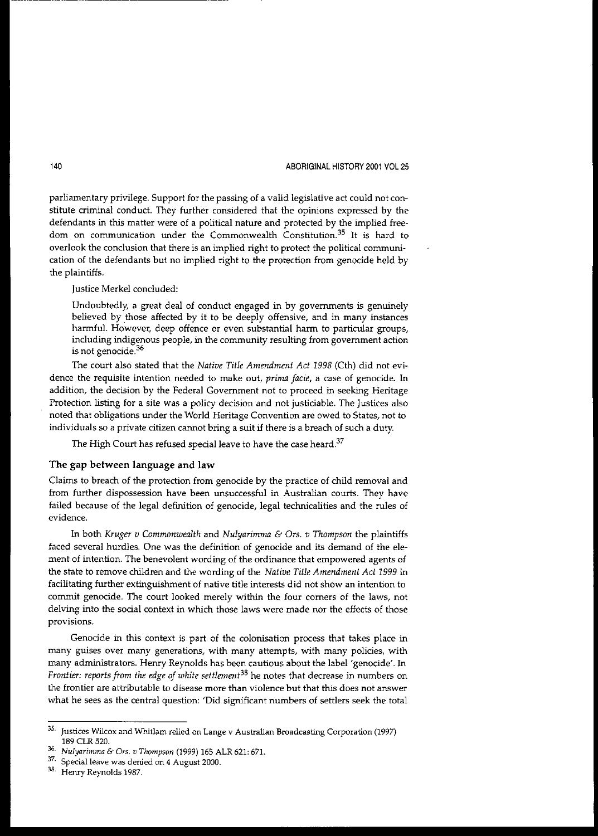parliamentary privilege. Support for the passing of a valid legislative act could not constitute criminal conduct. They further considered that the opinions expressed by the defendants in this matter were of a political nature and protected by the implied free**dom on communication tmder the Commonwealth Constitution.<sup>35</sup> It is hard to** overlook the conclusion that there is an implied right to protect the political communication of the defendants but no implied right to the protection from genocide held by the plaintiffs.

Justice Merkel concluded:

Undoubtedly, a great deal of conduct engaged in by governments is genuinely believed by those affected by it to be deeply offensive, and in many instances harmful. However, deep offence or even substantial harm to particular groups, **including indigenous people, in the community resulting from government action is not genocide.<sup>36</sup>**

The court also stated that the *Native Title Amendment Act* 1998 (Cth) did not evi**dence the requisite intention needed to make Qut,** *prima facie,* **a case of genocide. In** addition, the decision by the Federal Government not to proceed in seeking Heritage Protection listing for a site was a policy decision and not justiciable. The Justices also **noted that obligations under the World Heritage Convention are owed to States, not to individuals so a private citizen cannot bring a suit if there is a breach of such a duty.**

The High Court has refused special leave to have the case heard. $37$ 

### The gap between language and **law**

Claims to breach of the protection from genocide by the practice of child removal and from further dispossession have been unsuccessful in Australian courts. They have failed because of the legal definition of genocide, legal technicalities and the rules of **evidence.**

In both *Kruger v Commonwealth* and *Nulyarimma* & Ors. *v Thompson* the plaintiffs faced several hurdles. One was the definition of genocide and its demand of the ele**ment of intention. The benevolent wording of the ordinance that empowered agents of** the state to remove children and the wording of the *Native Title Amendment Act* 1999 in facilitating further extinguishment of native title interests did not show an intention to **commit genocide. The court looked merely within the four corners of the laws, not** delVing into the social context in which those laws were made nor the effects of those **provisions.**

Genocide in this context is part of the colonisation process that takes place in **many guises over many generations, with many attempts, with many policies, with** many administrators. Henry Reynolds has been cautious about the label 'genocide'. In *Frontier: reports from the edge of white settlement<sup>38</sup>* he notes that decrease in numbers on **the frontier are attributable to disease more than violence but that this does not answer** what he sees as the central question: 'Did Significant numbers of settlers seek the total

**<sup>35.</sup> Justices Wilcox and Whitlam relied on Lange v Australian Broadcasting Corporation (1997)** 189 CLR 520.

*<sup>36.</sup> Nulyarimma* & *Ors. v Thompson* (1999) 165 ALR 621: 671.

**<sup>37.</sup>** Special leave **was denied on 4 August 2000.**

**<sup>38.</sup> Henry ReynoIds 1987.**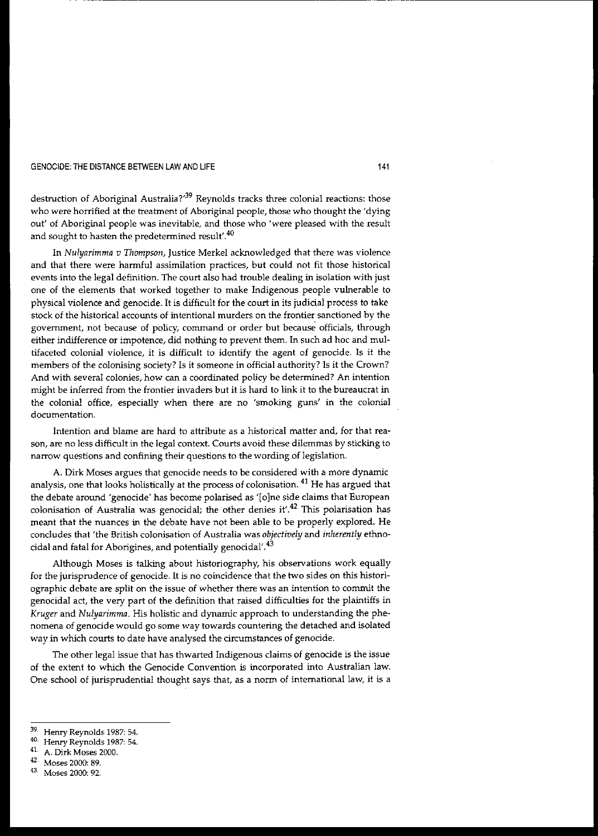### GENOCIDE: THE DISTANCE BETWEEN LAW AND LIFE 141 CHARGE 141

destruction of Aboriginal Australia?<sup>39</sup> Reynolds tracks three colonial reactions: those who were horrified at the treatment of Aboriginal people, those who thought the 'dying out' of Aboriginal people was inevitable, and those who 'were pleased with the result **and sought to hasten the predetermined result'.40**

---------------------------------

In *Nulyarimma v Thompson,* Justice Merkel acknowledged that there was violence and that there were harmful assimilation practices, but could not fit those historical events into the legal definition. The court also had trouble dealing in isolation with just one of the elements that worked together to make Indigenous people vuInerable to physical violence and genocide. It is difficult for the court in its judicial process to take **stock of the historical accounts of intentional murders on the frontier sanctioned by the government, not because of policy, command or order but because officials, through** either indifference or impotence, did nothing to prevent them. In such ad hoc and multifaceted colonial violence, it is difficult to identify the agent of genocide. Is it the members of the colonising society? Is it someone in official authority? Is it the Crown? **And with several colonies, how can a coordinated policy be determined? An intention** might be inferred from the frontier invaders but it is hard to link it to the bureaucrat in the colonial office, especially when there are no 'smoking guns' in the colonial **documentation.**

**Intention and blame are hard to attribute as a historical matter and, for that rea**son, are no less difficult in the legal context. Courts avoid these dilemmas by sticking to **narrow questions and confining their questions to the wording of legislation.**

**A. Dirk Moses argues that genocide needs to be considered with a more dynamic** analysis, one that looks holistically at the process of colonisation. 41 He has argued that the debate around 'genocide' has become polarised as '[o]ne side claims that European **colonisation of Australia was genocidal; the other denies it,.42 This polarisation has** meant that the nuances in the debate have not been able to be properly explored. He concludes that 'the British colonisation of Australia was *objectively* and *inherently* ethnocidal and fatal for Aborigines, and potentially genocidal'.43

Although Moses is talking about historiography, his observations work equally for the jurisprudence of genocide. It is no coincidence that the two sides on this histori**ographic debate are split on the issue of whether there was an intention to commit the** genocidal act, the very part of the definition that raised difficulties for the plaintiffs in *Kruger* and *Nulyarimma*. His holistic and dynamic approach to understanding the phe**nomena of genocide would go some way towards countering the detached and isolated** way in which courts to date have analysed the circumstances of genocide.

The other legal issue that has thwarted Indigenous claims of genocide is the issue of the extent to which the Genocide Convention is incorporated into Australian law. One school of jurisprudential thought says that, as a norm of international law, it is a

<sup>39.</sup> **Henry Reynolds 1987: 54.**

**<sup>40.</sup> Henry Reynolds 1987: 54.**

<sup>41.</sup> A. Dirk Moses 2000.

<sup>42.</sup> Moses 2000: 89.

<sup>43.</sup> **Moses 2000: 92.**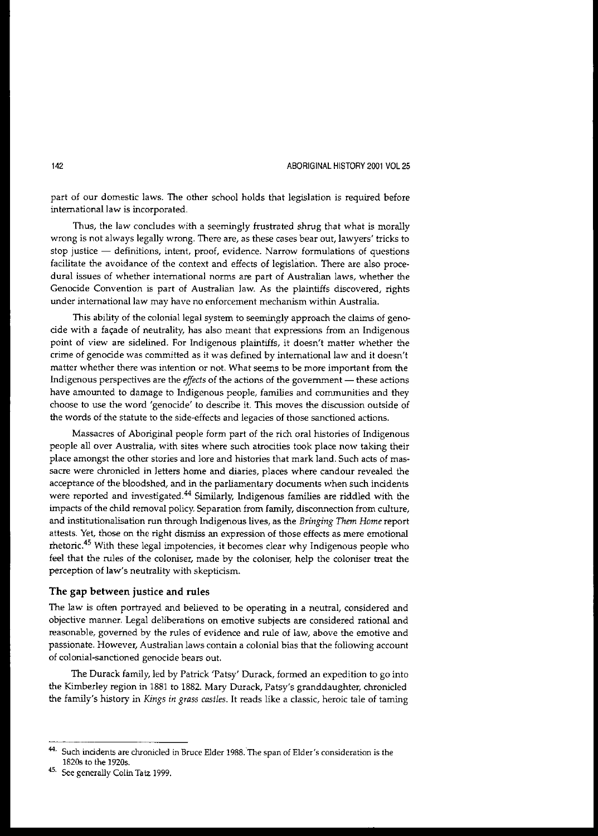part of our domestic laws. The other school holds that legislation is required before **intemationallaw is incorporated.**

Thus, the law concludes with a seemingly frustrated shrug that what is morally **wrong is not always legally wrong. There are, as these cases bear Qut, lawyers' tricks to stop justice - definitions, intent, proof, evidence. Narrow formulations of questions** facilitate the avoidance of the context and effects of legislation. There are also proce**dural issues of whether international norms are part of Australian laws, whether the** Genocide Convention is part of Australian law. As the plaintiffs discovered, rights **under** international law **may have no enforcement mechanism within Australia.**

This ability of the colonial legal system to seemingly approach the claims of geno**cide with a fac;ade of neutrality, has also meant that expressions from an Indigenous** point of view are sidelined. For Indigenous plaintiffs, it doesn't matter whether the **crime of genocide was committed as it was defined by intemationallaw and it doesn't matter whether there was intention or not. What seems to be more important from the Indigenous perspectives are the** *effects* **of the actions of the government - these actions** have amounted to damage to Indigenous people, families and communities and they **choose to use the word'genocide' to describe it. This moves the discussion outside of** the words of the statute to the side-effects and legacies of those sanctioned actions.

Massacres of Aboriginal people form part of the rich oral histories of Indigenous **people all over Australia, with sites where such atrocities took place now taking their** place amongst the other stories and lore and histories that mark land. Such acts of mas**sacre were chronicled in letters home and diaries, places where candour revealed the** acceptance of the bloodshed, and in the parliamentary documents when such incidents were reported and investigated.<sup>44</sup> Similarly, Indigenous families are riddled with the impacts of the child removal policy. Separation from family, disconnection from culture, and institutionalisation run through Indigenous lives, as the *Bringing Them Home* report **attests. Yet, those on the right dismiss an expression of those effects as mere emotional** rhetoric.<sup>45</sup> With these legal impotencies, it becomes clear why Indigenous people who feel that the rules of the coloniser, made by the coloniser, help the coloniser treat the perception of law's neutrality with skepticism.

### The gap between justice and rules

The law is often portrayed and believed to be operating in a neutral, considered and **objective manner. Legal deliberations on emotive subjects are considered rational and reasonable, governed by the rules of evidence and rule of law, above the emotive and passionate. However, Australian laws contain a colonial bias that the follOWing account of colonial-sanctioned genocide bears out.**

The Ourack family, led by Patrick 'Patsy' Ourack, formed an expedition to go into the Kimberley region in 1881 to 1882. Mary Ourack, Patsy's granddaughter, chronicled the family's history in *Kings in grass castles.* It reads like a classic, heroic tale of taming

**<sup>44.</sup> Such incidents are chronicled in Bruce Elder 1988.'The span of Elder's consideration is the** 18205 to the 1920s.

<sup>45.</sup> See generally Colin Tatz 1999.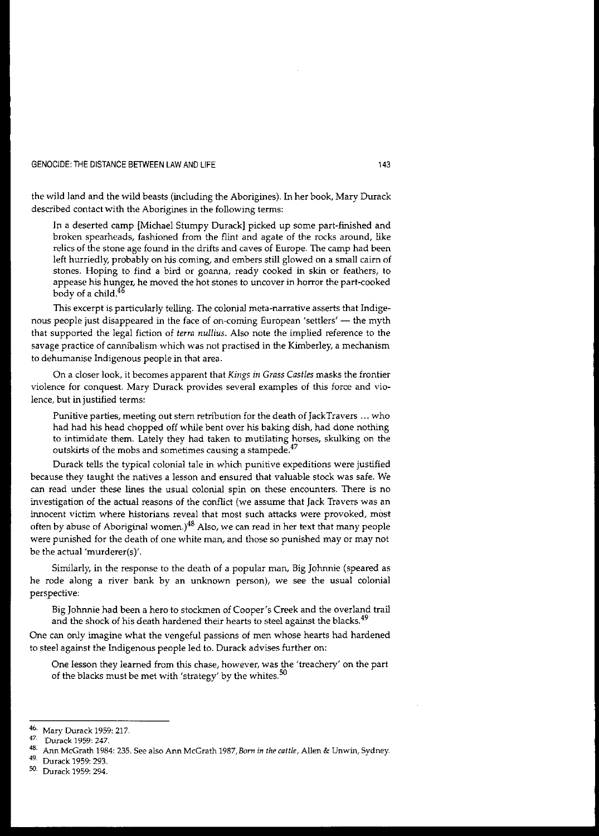the wild land and the wild beasts (including the Aborigines). In her book, Mary Ourack described contact with the Aborigines in the following terms:

In a deserted camp [Michael Stumpy Ourack] picked up some part-finished and broken spearheads, fashioned from the flint and agate of the rocks around, like relics of the stone age found in the drifts and caves of Europe. The camp had been left hurriedly, probably on his coming, and embers still glowed on a small cairn of **stones. Hoping to find a bird or goanna, ready cooked in skin or feathers, to appease his hunger, he moved the hot stones to uncover in horror the part-cooked** body of a child.<sup>46</sup>

This excerpt is particularly telling. The colonial meta-narrative asserts that Indigenous people just disappeared in the face of on-coming European 'settlers' — the myth that supported the legal fiction of *terra nullius.* Also note the implied reference to the **savage practice of cannibalism which was not practised in the Kimberley, a mechanism** to dehumanise Indigenous people in that area.

On a closer look, *it* becomes apparent that *Kings in* Grass Cas*ties* masks the frontier **violence for conquest. Mary Durack provides several examples of this force and vio**lence, but in justified terms:

**Punitive parties, meeting out stern retribution for the death of JackTravers ... who** had had his head chopped off while bent over his baking dish, had done nothing to intimidate them. Lately they had taken to mutilating horses, skulking on the **outskirts of the mobs and sometimes causing a starnpede,47**

Ourack tells the typical colonial tale in which punitive expeditions were justified **because they taught the natives a lesson and ensured that valuable stock was safe. We can read under these lines the usual colonial spin on these encounters. There is no** investigation of the actual reasons of the conflict (we assume that Jack Travers was an **innocent victim where historians reveal that most such attacks were provoked, most** often by abuse of Aboriginal women.) $48$  Also, we can read in her text that many people were punished for the death of one white man, and those so punished may or may not be the actual 'murderer(s)'.

Similarly, in the response to the death of a popular man, Big Johnnie (speared as **he rode along a river bank by an unknown person), we see the usual colonial** perspective:

Big Johnnie had been a hero to stockmen of Cooper's Creek and the overland trail and the shock of his death hardened their hearts to steel against the blacks. $49$ 

One can only imagine what the vengeful passions of men whose hearts had hardened to steel against the Indigenous people led to. Ourack advises further on:

**One lesson they learned from this chase, however, was the 'treachery' on the part** of the blacks must be met with 'strategy' by the whites.<sup>50</sup>

 $\frac{46}{17}$  Mary Durack 1959: 217.

**<sup>47.</sup> Durack 1959: 247.**

**<sup>48.</sup> Ann McGrath 1984: 235. See also Ann McGrath** 1987, *Born in the cattle,* **Alien & Unwin, Sydney.**

Durack 1959: 293.

<sup>50</sup> Ourack 1959: 294.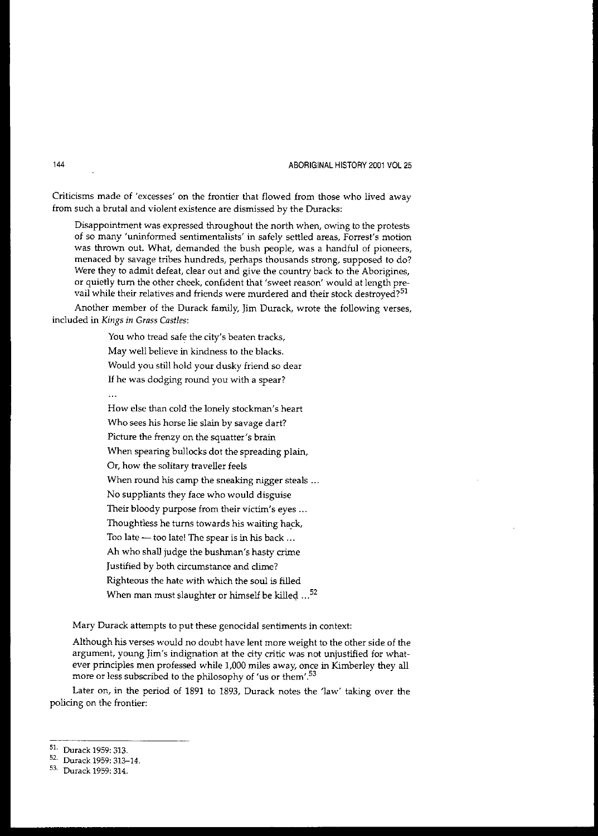**Criticisms made of 'excesses' on the frontier that flowed from those who lived away from such a brutal and violent existence are dismissed by the Duracks:**

**Disappointment was expressed throughout the north when, owing to the protests of so many 'uninformed sentimentalists' in safely settled areas, Forrest's motion** was thrown out. What, demanded the bush people, was a handful of pioneers, menaced by savage tribes hundreds, perhaps thousands strong, supposed to do? Were they to admit defeat, clear out and give the country back to the Aborigines, or quietly turn the other cheek, confident that 'sweet reason' would at length pre**vail while their relatives and friends were murdered and their stock destroyed?51**

Another member of the Durack family, Jim Durack, wrote the following verses, **included in** *Kings in Grass Castles:*

You who tread safe the city's beaten tracks,

May well believe in kindness to the blacks.

Would you still hold your dusky friend so dear

If he was dodging round you with a spear?

 $\ddot{\phantom{a}}$ 

How else than cold the lonely stockman's heart **Who sees his horse lie slain by savage dart?** Picture the frenzy on the squatter's brain When spearing bullocks dot the spreading plain, Or, how the solitary traveller feels When round his camp the sneaking nigger steals ... No suppliants they face who would disguise Their bloody purpose from their victim's eyes ... Thoughtless he turns towards his waiting hack, Too late - too late! The spear is in his back ... Ah who shall judge the bushman's hasty crime Justified by both circumstance and clime? Righteous the hate with which the soul is filled When man must slaughter or himself be killed  $...$ <sup>52</sup>

**Mary Durack attempts to put these genocidal sentiments in context:**

Although his verses would no doubt have lent more weight to the other side of the **argument, young Jim's indignation at the city critic was not unjustified for what**ever principles men professed while 1,000 miles away, once in Kimberley they all more or less subscribed to the philosophy of 'us or them'.<sup>53</sup>

Later on, in the period of 1891 to 1893, Durack notes the 'law' taking over the policing on the frontier:

s1. Durack 1959: 313.

<sup>52.</sup> Durack 1959: 313-14.

<sup>53.</sup> Durack 1959: 314.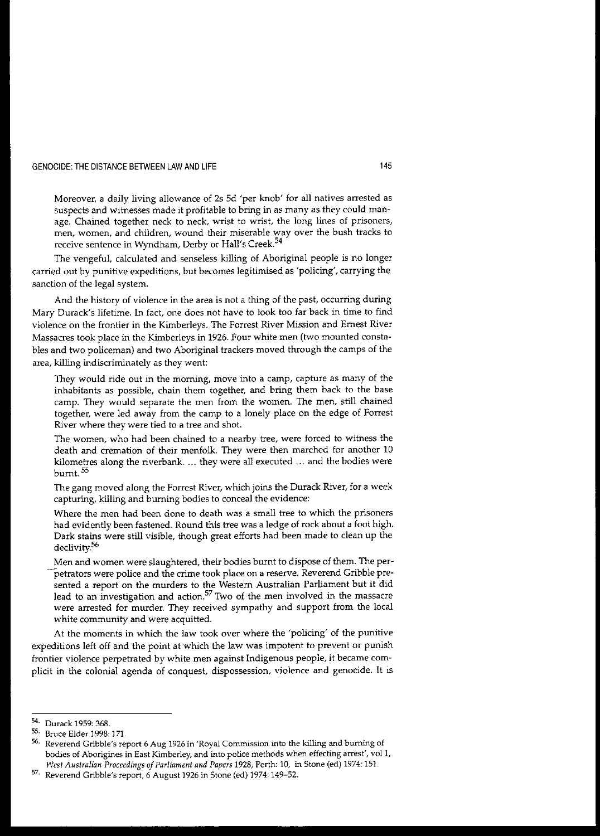**Moreover, a daily living allowance of 25 5d 'per knob' for all natives arrested as** suspects and witnesses made it profitable to bring in as many as they could man**age. Chained together neck to neck, wrist to wrist, the long lines of prisoners, men, women, and children, wound their miserable way over the bush tracks to receive sentence in Wyndham, Derby or Hall's Creek.<sup>54</sup>**

The vengeful, calculated and senseless killing of Aboriginal people is no longer carried out by punitive expeditions, but becomes legitimised as 'policing', carrying the sanction of the legal system.

And the history of violence in the area is not a thing of the past, occurring during Mary Durack's lifetime. In fact, one does not have to look too far back in time to find **violence on the frontier in the Kimberleys. The Forrest River Mission and Ernest River** Massacres took place in the Kimberleys in 1926. Four white men (two mounted constables and two policeman) and two Aboriginal trackers moved through the camps of the area, killing indiscriminately as they went:

**They would ride out in the morning, move into a camp, capture as many of the** inhabitants as possible, chain them together, and bring them back to the base camp. They would separate the men from the women. The men, still chained together, were led away from the camp to a lonely place on the edge of Forrest **River where they were tied to a tree and shot.**

**The women, who had been chained to a nearby tree, were forced to witness the** death and cremation of their menfolk. They were then marched for another 10 kilometres along the riverbank.... they were all executed ... and the bodies were burnt. 55

The gang moved along the Forrest River, which joins the Durack River, for a week capturing, killing and burning bodies to conceal the evidence:

Where the men had been done to death was a small tree to which the prisoners had evidently been fastened. Round this tree was a ledge of rock about a foot high. Dark stains were still visible, though great efforts had been made to clean up the declivity.<sup>56</sup>

Men and women were slaughtered, their bodies burnt to dispose of them. The per**petrators were police and the crime took place on a reserve. Reverend Gribble presented a report on the murders to the Western Australian Parliament but it did lead to an investigation and action.<sup>57</sup> Two of the men involved in the massacre** were arrested for murder. They received sympathy and support from the local **white community and were acquitted.**

At the moments in which the law took over where the 'policing' of the punitive expeditions left off and the point at which the law was impotent to prevent or punish **frontier violence perpetrated by white men against Indigenous people, it became complicit in the colonial agenda of conquest, dispossession, violence and genocide. It is**

<sup>54.</sup> Durack 1959: 368.<br>55. Bruss Elder 1998.

**<sup>55.</sup> Bruce Elder 1998: 171.**

**<sup>56.</sup> Reverend Gribble's report 6 Aug 1926 in 'Royal Commission into the killing and burning of bodies of Aborigines in East Kimberley, and into police methods when effecting arrest', vol1,** *West Australian Proceedings of Parliament and Papers* **1928, Perth: 10, in Stone (ed) 1974: 15!.**

**<sup>57.</sup> Reverend Gribble's report, 6 August 1926 in Stone (ed) 1974: 149-52.**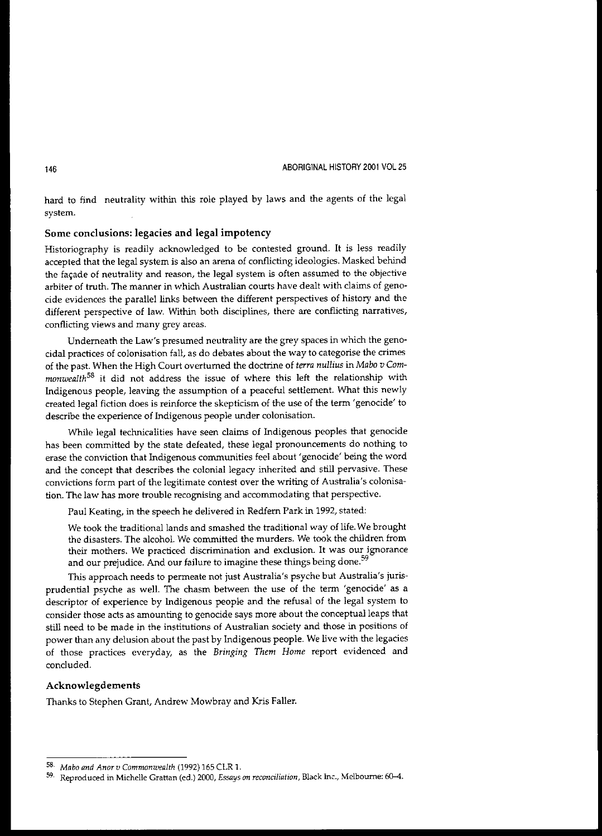hard to find neutrality within this role played by laws and the agents of the legal **system.**

# Some conclusions: legacies and legal impotency

Historiography is readily acknowledged to be contested ground. It is less readily accepted that the legal system is also an arena of conflicting ideologies. Masked behind **the fac;ade of neutrality and reason, the legal system is often assumed to the objective arbiter of truth. The manner in which Australian CQurts have dealt with claims of geno**cide evidences the parallel links between the different perspectives of history and the different perspective of law. Within both disciplines, there are conflicting narratives, **conflicting views and many grey areas.**

Underneath the Law's presumed neutrality are the grey spaces in which the geno**cidal practices of colonisation fall, as do debates about the way to categorise the crimes** of the past. When the High Court overturned the doctrine of *terra nullius* in *Mabo v Com*monwealth<sup>58</sup> it did not address the issue of where this left the relationship with Indigenous people, leaving the assumption of a peaceful settlement. What this newly **created legal fiction does is reinforce the skepticism of the use of the term'genocide' to** describe the experience of Indigenous people under colonisation.

While legal technicalities have seen claims of Indigenous peoples that genocide has been committed by the state defeated, these legal pronouncements do nothing to **erase the conviction that Indigenous communities feel about <sup>I</sup> genocide' being the word** and the concept that describes the colonial legacy inherited and still pervasive. These **convictions form part of the legitimate contest over the writing of Australia's colonisa**tion. The law has more trouble recognising and accommodating that perspective.

Paul Keating, in the speech he delivered in Redfem Park in 1992, stated:

We took the traditional lands and smashed the traditional way of life. We brought the disasters. The alcohol. We committed the murders. We took the children from **their mothers. We practiced discrimination and exclusion. It was our ignorance** and our prejudice. And our failure to imagine these things being done.<sup>59</sup>

**This approach needs to permeate not just Australia's psyche but Australia's juris**prudential psyche as well. The chasm between the use of the term 'genocide' as a descriptor of experience by Indigenous people and the refusal of the legal system to consider those acts as amounting to genocide says more about the conceptual leaps that **still need to be made in the institutions of Australian society and those in positions of** power than any delusion about the past by Indigenous people. We live with the legacies **of those practices everyday, as the** *Bringing Them Home* **report evidenced and** concluded.

# Acknowlegdements

Thanks to Stephen Grant, Andrew Mowbray and Kris Faller.

*<sup>58.</sup> Mabo and Anorv Commonwealth* **(1992) 165 CLR 1.**

**<sup>59.</sup> Reproduced in Michelle Grattan (ed.) 2000,** *Essays on reconciliation,* **Black Inc., Melbourne: 6Cl-4.**